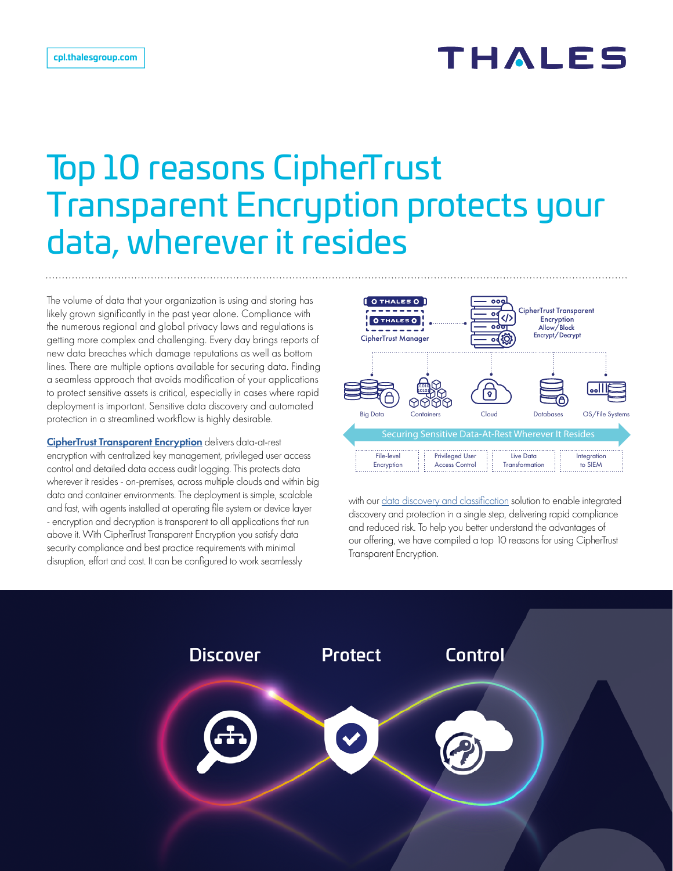## THALES

# Top 10 reasons CipherTrust Transparent Encryption protects your data, wherever it resides

The volume of data that your organization is using and storing has likely grown significantly in the past year alone. Compliance with the numerous regional and global privacy laws and regulations is getting more complex and challenging. Every day brings reports of new data breaches which damage reputations as well as bottom lines. There are multiple options available for securing data. Finding a seamless approach that avoids modification of your applications to protect sensitive assets is critical, especially in cases where rapid deployment is important. Sensitive data discovery and automated protection in a streamlined workflow is highly desirable.

[CipherTrust Transparent Encryption](https://cpl.thalesgroup.com/encryption/transparent-encryption) delivers data-at-rest encryption with centralized key management, privileged user access control and detailed data access audit logging. This protects data wherever it resides - on-premises, across multiple clouds and within big data and container environments. The deployment is simple, scalable and fast, with agents installed at operating file system or device layer - encryption and decryption is transparent to all applications that run above it. With CipherTrust Transparent Encryption you satisfy data security compliance and best practice requirements with minimal disruption, effort and cost. It can be configured to work seamlessly



with our [data discovery and classification](https://cpl.thalesgroup.com/encryption/data-discovery-and-classification) solution to enable integrated discovery and protection in a single step, delivering rapid compliance and reduced risk. To help you better understand the advantages of our offering, we have compiled a top 10 reasons for using CipherTrust Transparent Encryption.

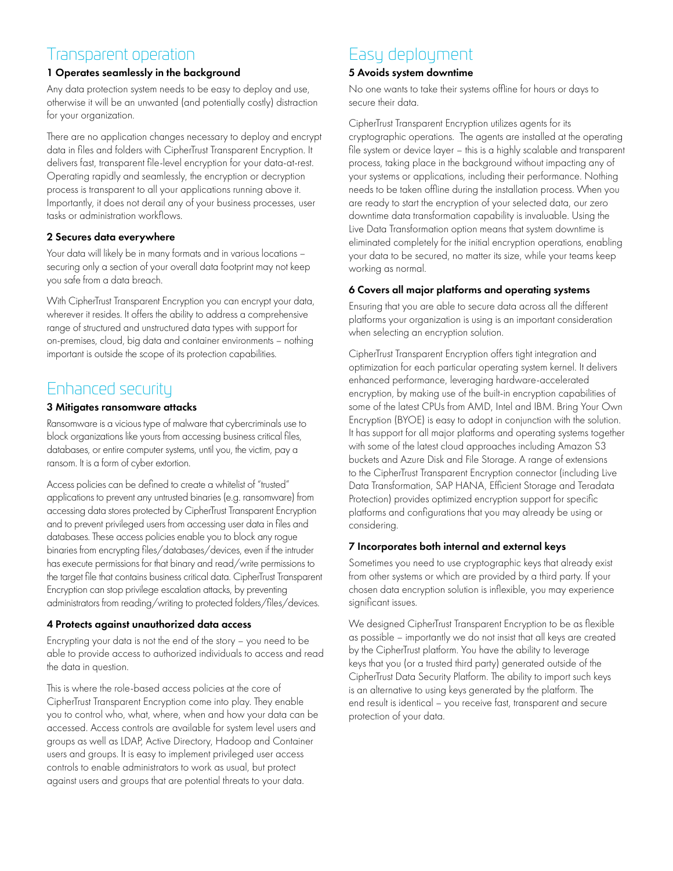### Transparent operation

### 1 Operates seamlessly in the background

Any data protection system needs to be easy to deploy and use, otherwise it will be an unwanted (and potentially costly) distraction for your organization.

There are no application changes necessary to deploy and encrypt data in files and folders with CipherTrust Transparent Encryption. It delivers fast, transparent file-level encryption for your data-at-rest. Operating rapidly and seamlessly, the encryption or decryption process is transparent to all your applications running above it. Importantly, it does not derail any of your business processes, user tasks or administration workflows.

#### 2 Secures data everywhere

Your data will likely be in many formats and in various locations – securing only a section of your overall data footprint may not keep you safe from a data breach.

With CipherTrust Transparent Encryption you can encrypt your data, wherever it resides. It offers the ability to address a comprehensive range of structured and unstructured data types with support for on-premises, cloud, big data and container environments – nothing important is outside the scope of its protection capabilities.

## Enhanced security

#### 3 Mitigates ransomware attacks

Ransomware is a vicious type of malware that cybercriminals use to block organizations like yours from accessing business critical files, databases, or entire computer systems, until you, the victim, pay a ransom. It is a form of cyber extortion.

Access policies can be defined to create a whitelist of "trusted" applications to prevent any untrusted binaries (e.g. ransomware) from accessing data stores protected by CipherTrust Transparent Encryption and to prevent privileged users from accessing user data in files and databases. These access policies enable you to block any rogue binaries from encrypting files/databases/devices, even if the intruder has execute permissions for that binary and read/write permissions to the target file that contains business critical data. CipherTrust Transparent Encryption can stop privilege escalation attacks, by preventing administrators from reading/writing to protected folders/files/devices.

### 4 Protects against unauthorized data access

Encrypting your data is not the end of the story – you need to be able to provide access to authorized individuals to access and read the data in question.

This is where the role-based access policies at the core of CipherTrust Transparent Encryption come into play. They enable you to control who, what, where, when and how your data can be accessed. Access controls are available for system level users and groups as well as LDAP, Active Directory, Hadoop and Container users and groups. It is easy to implement privileged user access controls to enable administrators to work as usual, but protect against users and groups that are potential threats to your data.

## Easy deployment

#### 5 Avoids system downtime

No one wants to take their systems offline for hours or days to secure their data.

CipherTrust Transparent Encryption utilizes agents for its cryptographic operations. The agents are installed at the operating file system or device layer – this is a highly scalable and transparent process, taking place in the background without impacting any of your systems or applications, including their performance. Nothing needs to be taken offline during the installation process. When you are ready to start the encryption of your selected data, our zero downtime data transformation capability is invaluable. Using the Live Data Transformation option means that system downtime is eliminated completely for the initial encryption operations, enabling your data to be secured, no matter its size, while your teams keep working as normal.

#### 6 Covers all major platforms and operating systems

Ensuring that you are able to secure data across all the different platforms your organization is using is an important consideration when selecting an encryption solution.

CipherTrust Transparent Encryption offers tight integration and optimization for each particular operating system kernel. It delivers enhanced performance, leveraging hardware-accelerated encryption, by making use of the built-in encryption capabilities of some of the latest CPUs from AMD, Intel and IBM. Bring Your Own Encryption (BYOE) is easy to adopt in conjunction with the solution. It has support for all major platforms and operating systems together with some of the latest cloud approaches including Amazon S3 buckets and Azure Disk and File Storage. A range of extensions to the CipherTrust Transparent Encryption connector (including Live Data Transformation, SAP HANA, Efficient Storage and Teradata Protection) provides optimized encryption support for specific platforms and configurations that you may already be using or considering.

#### 7 Incorporates both internal and external keys

Sometimes you need to use cryptographic keys that already exist from other systems or which are provided by a third party. If your chosen data encryption solution is inflexible, you may experience significant issues.

We designed CipherTrust Transparent Encryption to be as flexible as possible – importantly we do not insist that all keys are created by the CipherTrust platform. You have the ability to leverage keys that you (or a trusted third party) generated outside of the CipherTrust Data Security Platform. The ability to import such keys is an alternative to using keys generated by the platform. The end result is identical – you receive fast, transparent and secure protection of your data.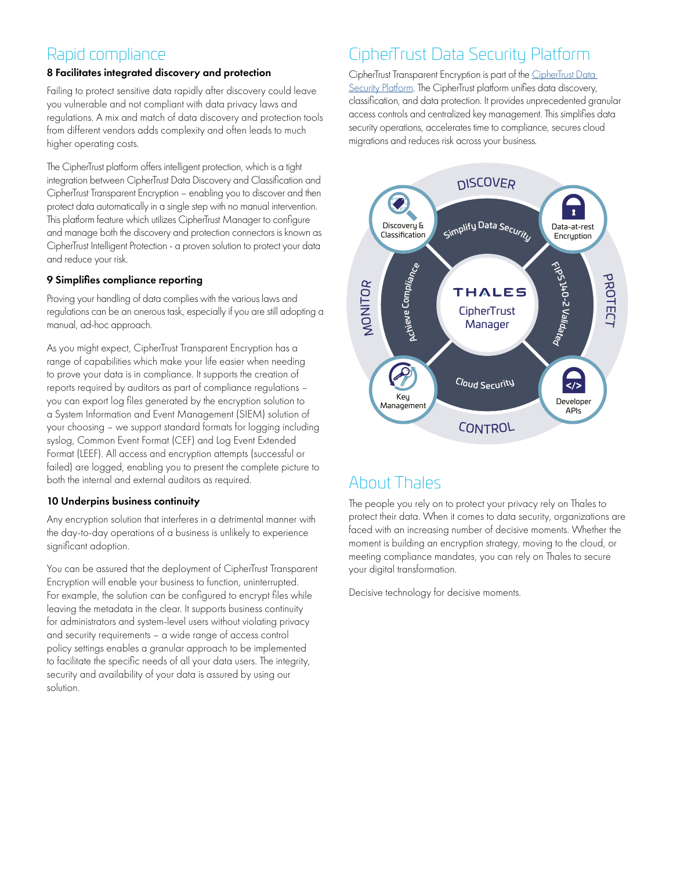## Rapid compliance

#### 8 Facilitates integrated discovery and protection

Failing to protect sensitive data rapidly after discovery could leave you vulnerable and not compliant with data privacy laws and regulations. A mix and match of data discovery and protection tools from different vendors adds complexity and often leads to much higher operating costs.

The CipherTrust platform offers intelligent protection, which is a tight integration between CipherTrust Data Discovery and Classification and CipherTrust Transparent Encryption – enabling you to discover and then protect data automatically in a single step with no manual intervention. This platform feature which utilizes CipherTrust Manager to configure and manage both the discovery and protection connectors is known as CipherTrust Intelligent Protection - a proven solution to protect your data and reduce your risk.

#### 9 Simplifies compliance reporting

Proving your handling of data complies with the various laws and regulations can be an onerous task, especially if you are still adopting a manual, ad-hoc approach.

As you might expect, CipherTrust Transparent Encryption has a range of capabilities which make your life easier when needing to prove your data is in compliance. It supports the creation of reports required by auditors as part of compliance regulations – you can export log files generated by the encryption solution to a System Information and Event Management (SIEM) solution of your choosing – we support standard formats for logging including syslog, Common Event Format (CEF) and Log Event Extended Format (LEEF). All access and encryption attempts (successful or failed) are logged, enabling you to present the complete picture to both the internal and external auditors as required.

#### 10 Underpins business continuity

Any encryption solution that interferes in a detrimental manner with the day-to-day operations of a business is unlikely to experience significant adoption.

You can be assured that the deployment of CipherTrust Transparent Encryption will enable your business to function, uninterrupted. For example, the solution can be configured to encrypt files while leaving the metadata in the clear. It supports business continuity for administrators and system-level users without violating privacy and security requirements – a wide range of access control policy settings enables a granular approach to be implemented to facilitate the specific needs of all your data users. The integrity, security and availability of your data is assured by using our solution.

## CipherTrust Data Security Platform

CipherTrust Transparent Encryption is part of the CipherTrust Data [Security Platform.](https://cpl.thalesgroup.com/encryption/data-security-platform) The CipherTrust platform unifies data discovery, classification, and data protection. It provides unprecedented granular access controls and centralized key management. This simplifies data security operations, accelerates time to compliance, secures cloud migrations and reduces risk across your business.



## About Thales

The people you rely on to protect your privacy rely on Thales to protect their data. When it comes to data security, organizations are faced with an increasing number of decisive moments. Whether the moment is building an encryption strategy, moving to the cloud, or meeting compliance mandates, you can rely on Thales to secure your digital transformation.

Decisive technology for decisive moments.